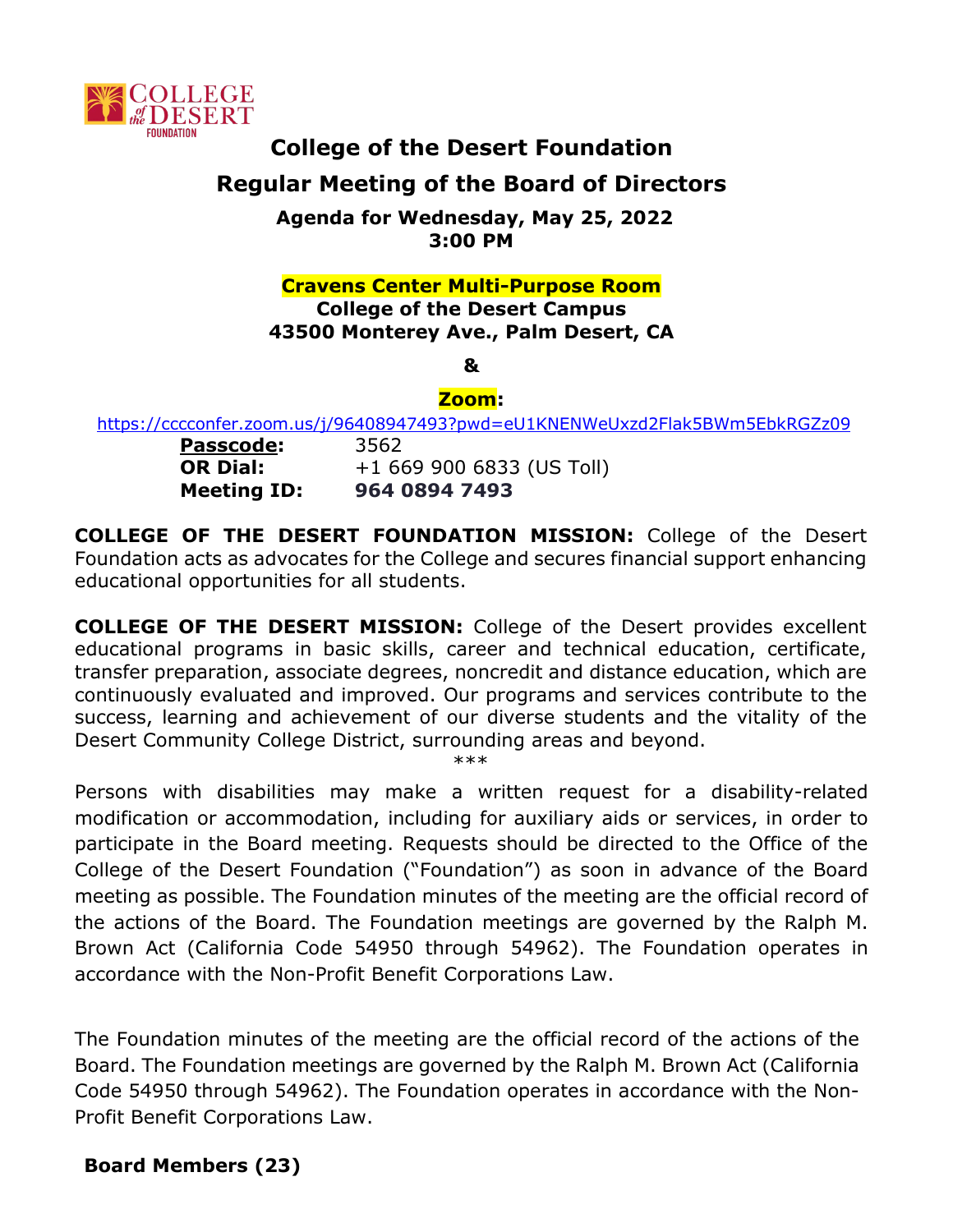

# **College of the Desert Foundation Regular Meeting of the Board of Directors**

**Agenda for Wednesday, May 25, 2022 3:00 PM**

#### **Cravens Center Multi-Purpose Room College of the Desert Campus 43500 Monterey Ave., Palm Desert, CA**

**&** 

## **Zoom:**

<https://cccconfer.zoom.us/j/96408947493?pwd=eU1KNENWeUxzd2Flak5BWm5EbkRGZz09>

**Passcode:** 3562

**OR Dial:** +1 669 900 6833 (US Toll) **Meeting ID: 964 0894 7493**

**COLLEGE OF THE DESERT FOUNDATION MISSION:** College of the Desert Foundation acts as advocates for the College and secures financial support enhancing educational opportunities for all students.

**COLLEGE OF THE DESERT MISSION:** College of the Desert provides excellent educational programs in basic skills, career and technical education, certificate, transfer preparation, associate degrees, noncredit and distance education, which are continuously evaluated and improved. Our programs and services contribute to the success, learning and achievement of our diverse students and the vitality of the Desert Community College District, surrounding areas and beyond.

\*\*\*

Persons with disabilities may make a written request for a disability-related modification or accommodation, including for auxiliary aids or services, in order to participate in the Board meeting. Requests should be directed to the Office of the College of the Desert Foundation ("Foundation") as soon in advance of the Board meeting as possible. The Foundation minutes of the meeting are the official record of the actions of the Board. The Foundation meetings are governed by the Ralph M. Brown Act (California Code 54950 through 54962). The Foundation operates in accordance with the Non-Profit Benefit Corporations Law.

The Foundation minutes of the meeting are the official record of the actions of the Board. The Foundation meetings are governed by the Ralph M. Brown Act (California Code 54950 through 54962). The Foundation operates in accordance with the Non-Profit Benefit Corporations Law.

# **Board Members (23)**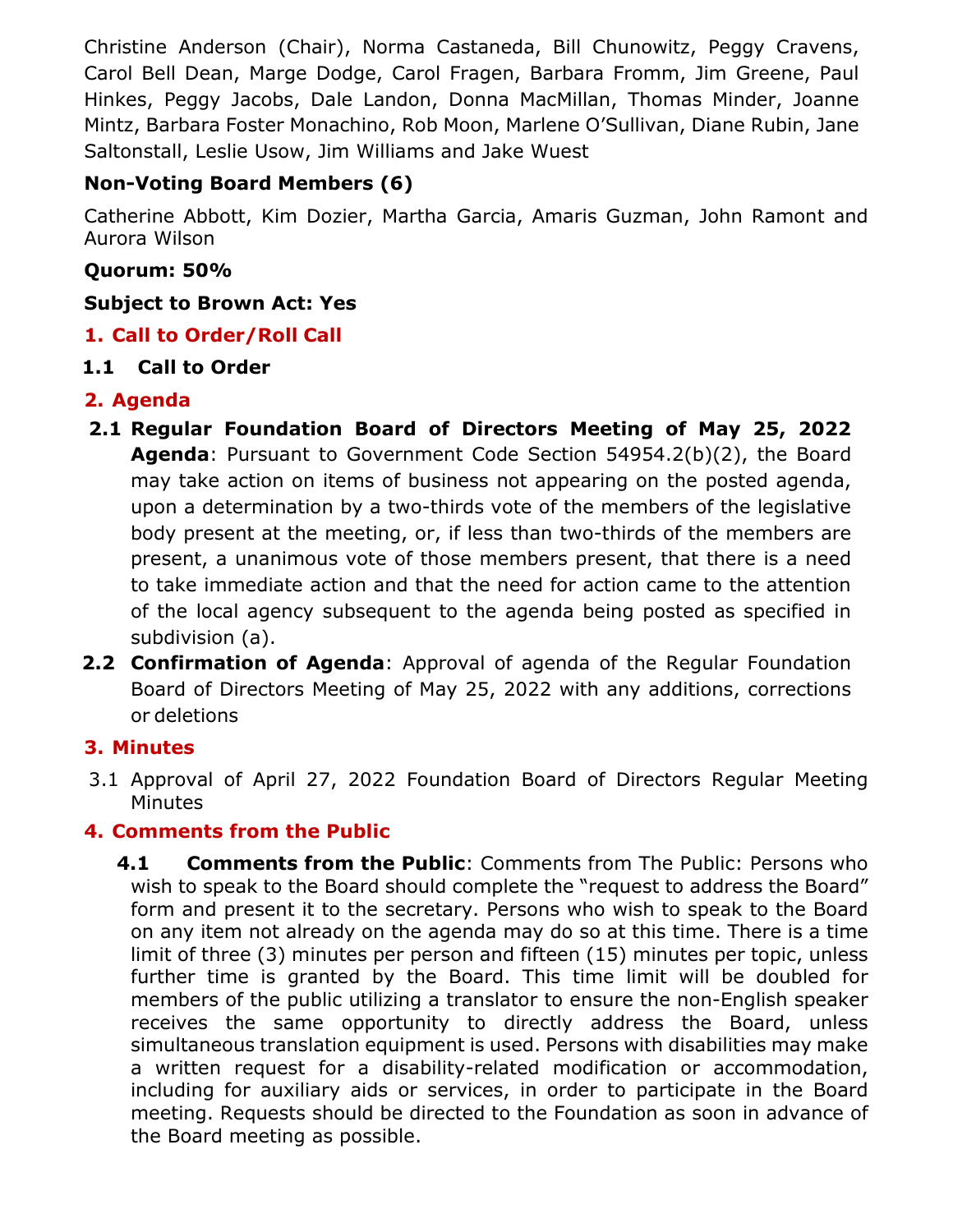Christine Anderson (Chair), Norma Castaneda, Bill Chunowitz, Peggy Cravens, Carol Bell Dean, Marge Dodge, Carol Fragen, Barbara Fromm, Jim Greene, Paul Hinkes, Peggy Jacobs, Dale Landon, Donna MacMillan, Thomas Minder, Joanne Mintz, Barbara Foster Monachino, Rob Moon, Marlene O'Sullivan, Diane Rubin, Jane Saltonstall, Leslie Usow, Jim Williams and Jake Wuest

# **Non-Voting Board Members (6)**

Catherine Abbott, Kim Dozier, Martha Garcia, Amaris Guzman, John Ramont and Aurora Wilson

#### **Quorum: 50%**

#### **Subject to Brown Act: Yes**

# **1. Call to Order/Roll Call**

#### **1.1 Call to Order**

## **2. Agenda**

- **2.1 Regular Foundation Board of Directors Meeting of May 25, 2022 Agenda**: Pursuant to Government Code Section 54954.2(b)(2), the Board may take action on items of business not appearing on the posted agenda, upon a determination by a two-thirds vote of the members of the legislative body present at the meeting, or, if less than two-thirds of the members are present, a unanimous vote of those members present, that there is a need to take immediate action and that the need for action came to the attention of the local agency subsequent to the agenda being posted as specified in subdivision (a).
- **2.2 Confirmation of Agenda**: Approval of agenda of the Regular Foundation Board of Directors Meeting of May 25, 2022 with any additions, corrections or deletions

## **3. Minutes**

3.1 Approval of April 27, 2022 Foundation Board of Directors Regular Meeting **Minutes** 

## **4. Comments from the Public**

**4.1 Comments from the Public**: Comments from The Public: Persons who wish to speak to the Board should complete the "request to address the Board" form and present it to the secretary. Persons who wish to speak to the Board on any item not already on the agenda may do so at this time. There is a time limit of three (3) minutes per person and fifteen (15) minutes per topic, unless further time is granted by the Board. This time limit will be doubled for members of the public utilizing a translator to ensure the non-English speaker receives the same opportunity to directly address the Board, unless simultaneous translation equipment is used. Persons with disabilities may make a written request for a disability-related modification or accommodation, including for auxiliary aids or services, in order to participate in the Board meeting. Requests should be directed to the Foundation as soon in advance of the Board meeting as possible.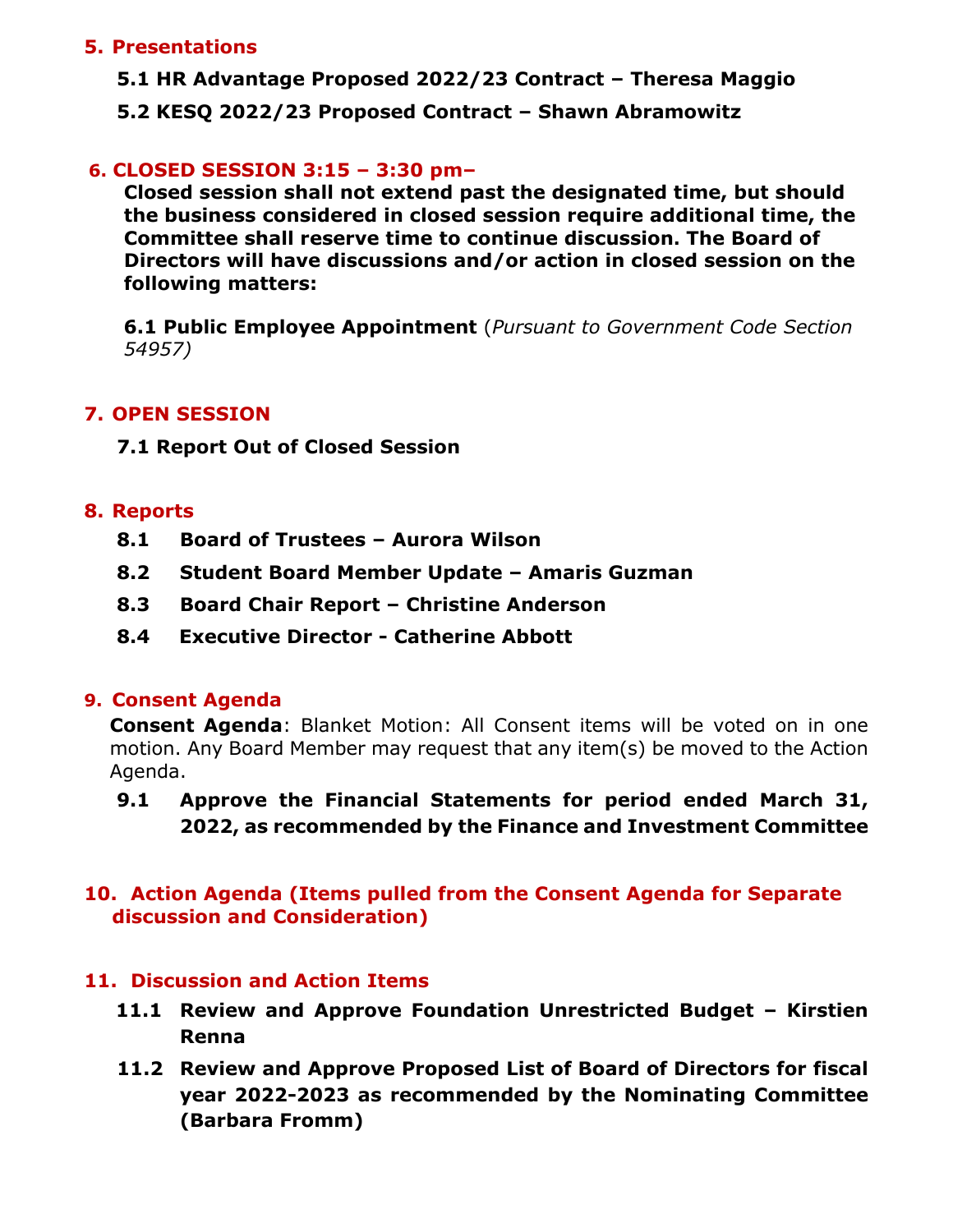#### **5. Presentations**

- **5.1 HR Advantage Proposed 2022/23 Contract – Theresa Maggio**
- **5.2 KESQ 2022/23 Proposed Contract – Shawn Abramowitz**

## **6. CLOSED SESSION 3:15 – 3:30 pm–**

**Closed session shall not extend past the designated time, but should the business considered in closed session require additional time, the Committee shall reserve time to continue discussion. The Board of Directors will have discussions and/or action in closed session on the following matters:**

**6.1 Public Employee Appointment** (*Pursuant to Government Code Section 54957)*

# **7. OPEN SESSION**

**7.1 Report Out of Closed Session**

#### **8. Reports**

- **8.1 Board of Trustees – Aurora Wilson**
- **8.2 Student Board Member Update – Amaris Guzman**
- **8.3 Board Chair Report – Christine Anderson**
- **8.4 Executive Director - Catherine Abbott**

## **9. Consent Agenda**

**Consent Agenda**: Blanket Motion: All Consent items will be voted on in one motion. Any Board Member may request that any item(s) be moved to the Action Agenda.

**9.1 Approve the Financial Statements for period ended March 31, 2022, as recommended by the Finance and Investment Committee**

# **10. Action Agenda (Items pulled from the Consent Agenda for Separate discussion and Consideration)**

## **11. Discussion and Action Items**

- **11.1 Review and Approve Foundation Unrestricted Budget – Kirstien Renna**
- **11.2 Review and Approve Proposed List of Board of Directors for fiscal year 2022-2023 as recommended by the Nominating Committee (Barbara Fromm)**